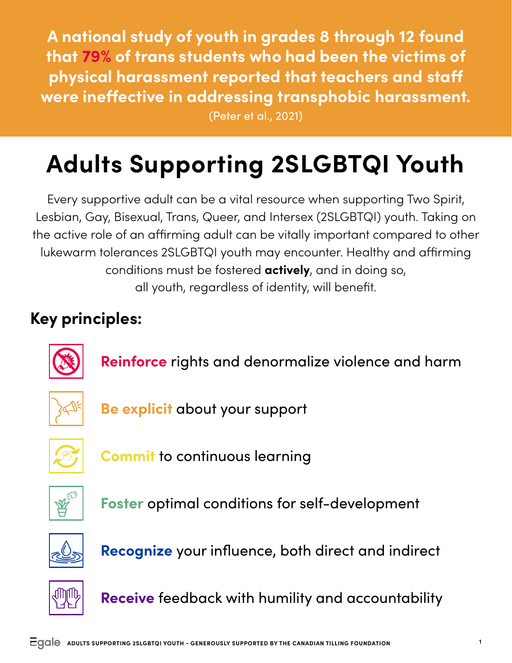**A national study of youth in grades 8 through 12 found that 79% of trans students who had been the victims of physical harassment reported that teachers and staff were ineffective in addressing transphobic harassment.**  (Peter et al., 2021)

## **Adults Supporting 2SLGBTQI Youth**

Every supportive adult can be a vital resource when supporting Two Spirit, Lesbian, Gay, Bisexual, Trans, Queer, and Intersex (2SLGBTQI) youth. Taking on the active role of an affirming adult can be vitally important compared to other lukewarm tolerances 2SLGBTQI youth may encounter. Healthy and affirming conditions must be fostered **actively**, and in doing so, all youth, regardless of identity, will benefit.

## **Key principles:**



**Reinforce** rights and denormalize violence and harm



**Be explicit** about your support



**Commit** to continuous learning



**Foster** optimal conditions for self-development



**Recognize** your influence, both direct and indirect



**Receive** feedback with humility and accountability